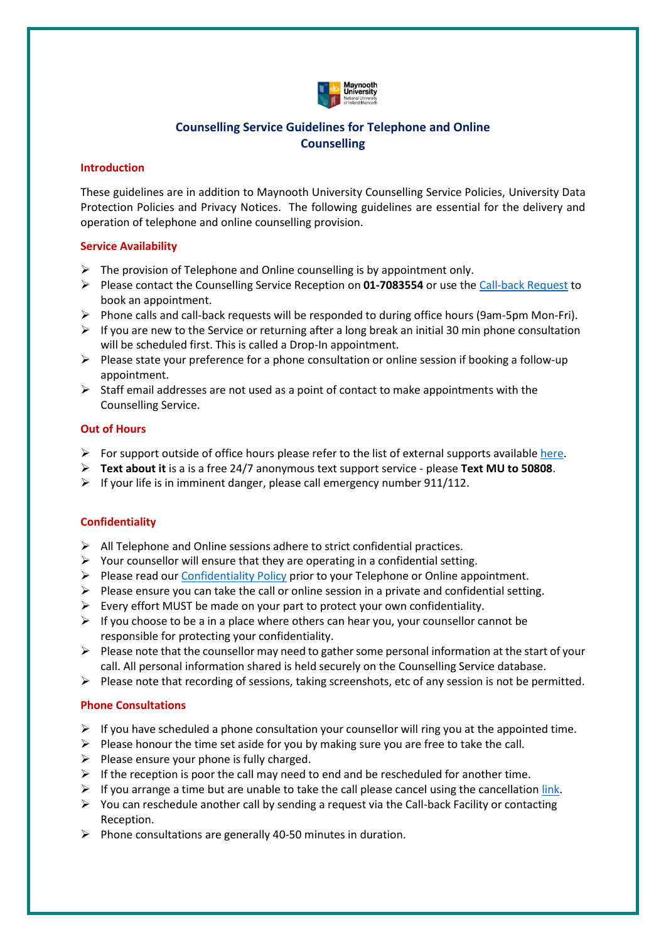

# **Counselling Service Guidelines for Telephone and Online Counselling**

#### **Introduction**

These guidelines are in addition to Maynooth University Counselling Service Policies, University Data Protection Policies and Privacy Notices. The following guidelines are essential for the delivery and operation of telephone and online counselling provision.

### **Service Availability**

- $\triangleright$  The provision of Telephone and Online counselling is by appointment only.
- ➢ Please contact the Counselling Service Reception on **01-7083554** or use th[e Call-back Request](about:blank) to book an appointment.
- ➢ Phone calls and call-back requests will be responded to during office hours (9am-5pm Mon-Fri).
- $\triangleright$  If you are new to the Service or returning after a long break an initial 30 min phone consultation will be scheduled first. This is called a Drop-In appointment.
- ➢ Please state your preference for a phone consultation or online session if booking a follow-up appointment.
- $\triangleright$  Staff email addresses are not used as a point of contact to make appointments with the Counselling Service.

### **Out of Hours**

- $\triangleright$  For support outside of office hours please refer to the list of external supports available [here.](about:blank)
- ➢ **Text about it** is a is a free 24/7 anonymous text support service please **Text MU to 50808**.
- $\triangleright$  If your life is in imminent danger, please call emergency number 911/112.

## **Confidentiality**

- ➢ All Telephone and Online sessions adhere to strict confidential practices.
- $\triangleright$  Your counsellor will ensure that they are operating in a confidential setting.
- ➢ Please read our [Confidentiality Policy](about:blank) prior to your Telephone or Online appointment.
- $\triangleright$  Please ensure you can take the call or online session in a private and confidential setting.
- $\triangleright$  Every effort MUST be made on your part to protect your own confidentiality.
- $\triangleright$  If you choose to be a in a place where others can hear you, your counsellor cannot be responsible for protecting your confidentiality.
- $\triangleright$  Please note that the counsellor may need to gather some personal information at the start of your call. All personal information shared is held securely on the Counselling Service database.
- $\triangleright$  Please note that recording of sessions, taking screenshots, etc of any session is not be permitted.

### **Phone Consultations**

- $\triangleright$  If you have scheduled a phone consultation your counsellor will ring you at the appointed time.
- $\triangleright$  Please honour the time set aside for you by making sure you are free to take the call.
- $\triangleright$  Please ensure your phone is fully charged.
- $\triangleright$  If the reception is poor the call may need to end and be rescheduled for another time.
- $\triangleright$  If you arrange a time but are unable to take the call please cancel using the cancellation [link.](about:blank)
- $\triangleright$  You can reschedule another call by sending a request via the Call-back Facility or contacting Reception.
- $\triangleright$  Phone consultations are generally 40-50 minutes in duration.